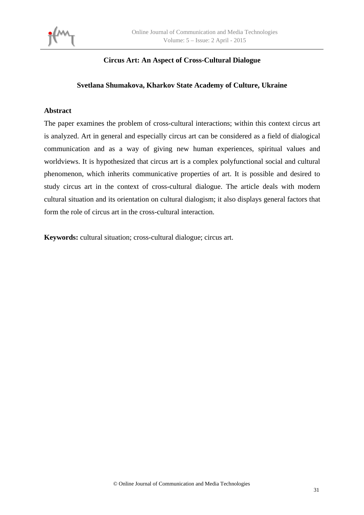

## **Circus Art: An Aspect of Cross-Cultural Dialogue**

### **Svetlana Shumakova, Kharkov State Academy of Culture, Ukraine**

### **Abstract**

The paper examines the problem of cross-cultural interactions; within this context circus art is analyzed. Art in general and especially circus art can be considered as a field of dialogical communication and as a way of giving new human experiences, spiritual values and worldviews. It is hypothesized that circus art is a complex polyfunctional social and cultural phenomenon, which inherits communicative properties of art. It is possible and desired to study circus art in the context of cross-cultural dialogue. The article deals with modern cultural situation and its orientation on cultural dialogism; it also displays general factors that form the role of circus art in the cross-cultural interaction.

**Keywords:** cultural situation; cross-cultural dialogue; circus art.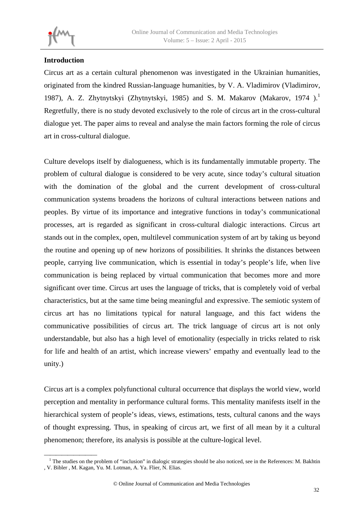# **Introduction**

Circus art as a certain cultural phenomenon was investigated in the Ukrainian humanities, originated from the kindred Russian-language humanities, by V. A. Vladimirov (Vladimirov, 1987), A. Z. Zhytnytskyi (Zhytnytskyi, 1985) and S. M. Makarov (Makarov, 1974).<sup>1</sup> Regretfully, there is no study devoted exclusively to the role of circus art in the cross-cultural dialogue yet. The paper aims to reveal and analyse the main factors forming the role of circus art in cross-cultural dialogue.

Culture develops itself by dialogueness, which is its fundamentally immutable property. The problem of cultural dialogue is considered to be very acute, since today's cultural situation with the domination of the global and the current development of cross-cultural communication systems broadens the horizons of cultural interactions between nations and peoples. By virtue of its importance and integrative functions in today's communicational processes, art is regarded as significant in cross-cultural dialogic interactions. Circus art stands out in the complex, open, multilevel communication system of art by taking us beyond the routine and opening up of new horizons of possibilities. It shrinks the distances between people, carrying live communication, which is essential in today's people's life, when live communication is being replaced by virtual communication that becomes more and more significant over time. Circus art uses the language of tricks, that is completely void of verbal characteristics, but at the same time being meaningful and expressive. The semiotic system of circus art has no limitations typical for natural language, and this fact widens the communicative possibilities of circus art. The trick language of circus art is not only understandable, but also has a high level of emotionality (especially in tricks related to risk for life and health of an artist, which increase viewers' empathy and eventually lead to the unity.)

Circus art is a complex polyfunctional cultural occurrence that displays the world view, world perception and mentality in performance cultural forms. This mentality manifests itself in the hierarchical system of people's ideas, views, estimations, tests, cultural canons and the ways of thought expressing. Thus, in speaking of circus art, we first of all mean by it a cultural phenomenon; therefore, its analysis is possible at the culture-logical level.

The studies on the problem of "inclusion" in dialogic strategies should be also noticed, see in the References: M. Bakhtin , V. Bibler , M. Kagan, Yu. M. Lotman, A. Ya. Flier, N. Elias.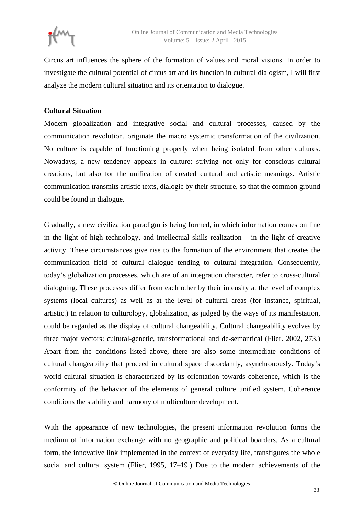

Circus art influences the sphere of the formation of values and moral visions. In order to investigate the cultural potential of circus art and its function in cultural dialogism, I will first analyze the modern cultural situation and its orientation to dialogue.

### **Cultural Situation**

Modern globalization and integrative social and cultural processes, caused by the communication revolution, originate the macro systemic transformation of the civilization. No culture is capable of functioning properly when being isolated from other cultures. Nowadays, a new tendency appears in culture: striving not only for conscious cultural creations, but also for the unification of created cultural and artistic meanings. Artistic communication transmits artistic texts, dialogic by their structure, so that the common ground could be found in dialogue.

Gradually, a new civilization paradigm is being formed, in which information comes on line in the light of high technology, and intellectual skills realization – in the light of creative activity. These circumstances give rise to the formation of the environment that creates the communication field of cultural dialogue tending to cultural integration. Consequently, today's globalization processes, which are of an integration character, refer to cross-cultural dialoguing. These processes differ from each other by their intensity at the level of complex systems (local cultures) as well as at the level of cultural areas (for instance, spiritual, artistic.) In relation to culturology, globalization, as judged by the ways of its manifestation, could be regarded as the display of cultural changeability. Cultural changeability evolves by three major vectors: cultural-genetic, transformational and de-semantical (Flier. 2002, 273.) Apart from the conditions listed above, there are also some intermediate conditions of cultural changeability that proceed in cultural space discordantly, asynchronously. Today's world cultural situation is characterized by its orientation towards coherence, which is the conformity of the behavior of the elements of general culture unified system. Coherence conditions the stability and harmony of multiculture development.

With the appearance of new technologies, the present information revolution forms the medium of information exchange with no geographic and political boarders. As a cultural form, the innovative link implemented in the context of everyday life, transfigures the whole social and cultural system (Flier, 1995, 17–19.) Due to the modern achievements of the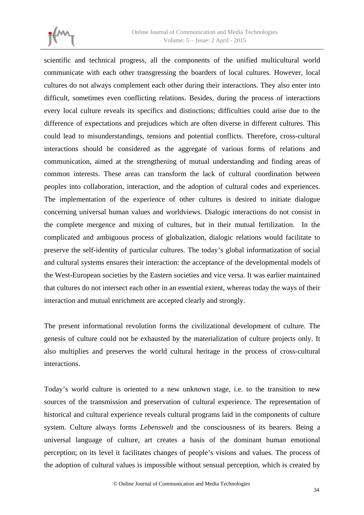

scientific and technical progress, all the components of the unified multicultural world communicate with each other transgressing the boarders of local cultures. However, local cultures do not always complement each other during their interactions. They also enter into difficult, sometimes even conflicting relations. Besides, during the process of interactions every local culture reveals its specifics and distinctions; difficulties could arise due to the difference of expectations and prejudices which are often diverse in different cultures. This could lead to misunderstandings, tensions and potential conflicts. Therefore, cross-cultural interactions should be considered as the aggregate of various forms of relations and communication, aimed at the strengthening of mutual understanding and finding areas of common interests. These areas can transform the lack of cultural coordination between peoples into collaboration, interaction, and the adoption of cultural codes and experiences. The implementation of the experience of other cultures is desired to initiate dialogue concerning universal human values and worldviews. Dialogic interactions do not consist in the complete mergence and mixing of cultures, but in their mutual fertilization. In the complicated and ambiguous process of globalization, dialogic relations would facilitate to preserve the self-identity of particular cultures. The today's global informatization of social and cultural systems ensures their interaction: the acceptance of the developmental models of the West-European societies by the Eastern societies and vice versa. It was earlier maintained that cultures do not intersect each other in an essential extent, whereas today the ways of their interaction and mutual enrichment are accepted clearly and strongly.

The present informational revolution forms the civilizational development of culture. The genesis of culture could not be exhausted by the materialization of culture projects only. It also multiplies and preserves the world cultural heritage in the process of cross-cultural interactions.

Today's world culture is oriented to a new unknown stage, i.e. to the transition to new sources of the transmission and preservation of cultural experience. The representation of historical and cultural experience reveals cultural programs laid in the components of culture system. Culture always forms *Lebenswelt* and the consciousness of its bearers. Being a universal language of culture, art creates a basis of the dominant human emotional perception; on its level it facilitates changes of people's visions and values. The process of the adoption of cultural values is impossible without sensual perception, which is created by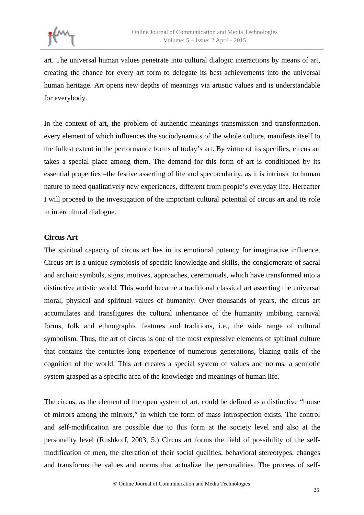art. The universal human values penetrate into cultural dialogic interactions by means of art, creating the chance for every art form to delegate its best achievements into the universal human heritage. Art opens new depths of meanings via artistic values and is understandable for everybody.

In the context of art, the problem of authentic meanings transmission and transformation, every element of which influences the sociodynamics of the whole culture, manifests itself to the fullest extent in the performance forms of today's art. By virtue of its specifics, circus art takes a special place among them. The demand for this form of art is conditioned by its essential properties –the festive asserting of life and spectacularity, as it is intrinsic to human nature to need qualitatively new experiences, different from people's everyday life. Hereafter I will proceed to the investigation of the important cultural potential of circus art and its role in intercultural dialogue.

## **Circus Art**

The spiritual capacity of circus art lies in its emotional potency for imaginative influence. Circus art is a unique symbiosis of specific knowledge and skills, the conglomerate of sacral and archaic symbols, signs, motives, approaches, ceremonials, which have transformed into a distinctive artistic world. This world became a traditional classical art asserting the universal moral, physical and spiritual values of humanity. Over thousands of years, the circus art accumulates and transfigures the cultural inheritance of the humanity imbibing carnival forms, folk and ethnographic features and traditions, i.e., the wide range of cultural symbolism. Thus, the art of circus is one of the most expressive elements of spiritual culture that contains the centuries-long experience of numerous generations, blazing trails of the cognition of the world. This art creates a special system of values and norms, a semiotic system grasped as a specific area of the knowledge and meanings of human life.

The circus, as the element of the open system of art, could be defined as a distinctive "house of mirrors among the mirrors," in which the form of mass introspection exists. The control and self-modification are possible due to this form at the society level and also at the personality level (Rushkoff, 2003, 5.) Circus art forms the field of possibility of the selfmodification of men, the alteration of their social qualities, behavioral stereotypes, changes and transforms the values and norms that actualize the personalities. The process of self-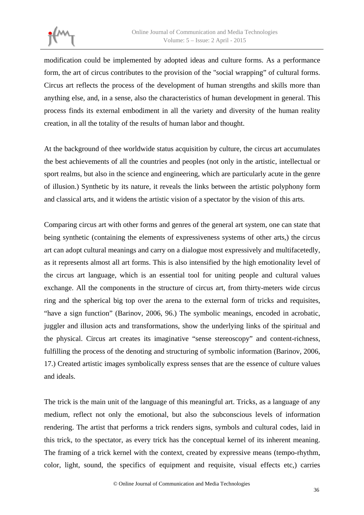

modification could be implemented by adopted ideas and culture forms. As a performance form, the art of circus contributes to the provision of the "social wrapping" of cultural forms. Circus art reflects the process of the development of human strengths and skills more than anything else, and, in a sense, also the characteristics of human development in general. This process finds its external embodiment in all the variety and diversity of the human reality creation, in all the totality of the results of human labor and thought.

At the background of thee worldwide status acquisition by culture, the circus art accumulates the best achievements of all the countries and peoples (not only in the artistic, intellectual or sport realms, but also in the science and engineering, which are particularly acute in the genre of illusion.) Synthetic by its nature, it reveals the links between the artistic polyphony form and classical arts, and it widens the artistic vision of a spectator by the vision of this arts.

Comparing circus art with other forms and genres of the general art system, one can state that being synthetic (containing the elements of expressiveness systems of other arts,) the circus art can adopt cultural meanings and carry on a dialogue most expressively and multifacetedly, as it represents almost all art forms. This is also intensified by the high emotionality level of the circus art language, which is an essential tool for uniting people and cultural values exchange. All the components in the structure of circus art, from thirty-meters wide circus ring and the spherical big top over the arena to the external form of tricks and requisites, "have a sign function" (Barinov, 2006, 96.) The symbolic meanings, encoded in acrobatic, juggler and illusion acts and transformations, show the underlying links of the spiritual and the physical. Circus art creates its imaginative "sense stereoscopy" and content-richness, fulfilling the process of the denoting and structuring of symbolic information (Barinov, 2006, 17.) Created artistic images symbolically express senses that are the essence of culture values and ideals.

The trick is the main unit of the language of this meaningful art. Tricks, as a language of any medium, reflect not only the emotional, but also the subconscious levels of information rendering. The artist that performs a trick renders signs, symbols and cultural codes, laid in this trick, to the spectator, as every trick has the conceptual kernel of its inherent meaning. The framing of a trick kernel with the context, created by expressive means (tempo-rhythm, color, light, sound, the specifics of equipment and requisite, visual effects etc,) carries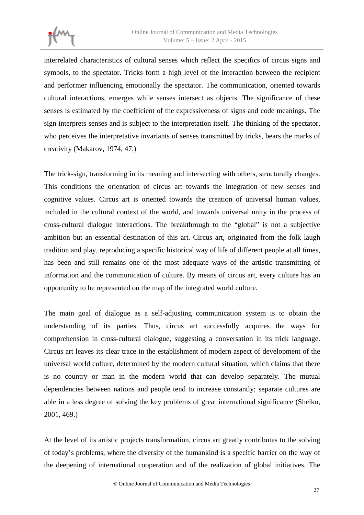

interrelated characteristics of cultural senses which reflect the specifics of circus signs and symbols, to the spectator. Tricks form a high level of the interaction between the recipient and performer influencing emotionally the spectator. The communication, oriented towards cultural interactions, emerges while senses intersect as objects. The significance of these senses is estimated by the coefficient of the expressiveness of signs and code meanings. The sign interprets senses and is subject to the interpretation itself. The thinking of the spectator, who perceives the interpretative invariants of senses transmitted by tricks, bears the marks of creativity (Makarov, 1974, 47.)

The trick-sign, transforming in its meaning and intersecting with others, structurally changes. This conditions the orientation of circus art towards the integration of new senses and cognitive values. Circus art is oriented towards the creation of universal human values, included in the cultural context of the world, and towards universal unity in the process of cross-cultural dialogue interactions. The breakthrough to the "global" is not a subjective ambition but an essential destination of this art. Circus art, originated from the folk laugh tradition and play, reproducing a specific historical way of life of different people at all times, has been and still remains one of the most adequate ways of the artistic transmitting of information and the communication of culture. By means of circus art, every culture has an opportunity to be represented on the map of the integrated world culture.

The main goal of dialogue as a self-adjusting communication system is to obtain the understanding of its parties. Thus, circus art successfully acquires the ways for comprehension in cross-cultural dialogue, suggesting a conversation in its trick language. Circus art leaves its clear trace in the establishment of modern aspect of development of the universal world culture, determined by the modern cultural situation, which claims that there is no country or man in the modern world that can develop separately. The mutual dependencies between nations and people tend to increase constantly; separate cultures are able in a less degree of solving the key problems of great international significance (Sheiko, 2001, 469.)

At the level of its artistic projects transformation, circus art greatly contributes to the solving of today's problems, where the diversity of the humankind is a specific barrier on the way of the deepening of international cooperation and of the realization of global initiatives. The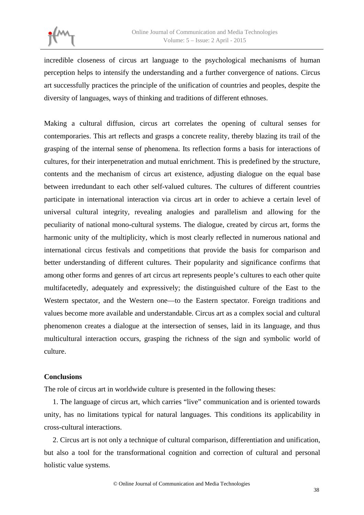incredible closeness of circus art language to the psychological mechanisms of human perception helps to intensify the understanding and a further convergence of nations. Circus art successfully practices the principle of the unification of countries and peoples, despite the diversity of languages, ways of thinking and traditions of different ethnoses.

Making a cultural diffusion, circus art correlates the opening of cultural senses for contemporaries. This art reflects and grasps a concrete reality, thereby blazing its trail of the grasping of the internal sense of phenomena. Its reflection forms a basis for interactions of cultures, for their interpenetration and mutual enrichment. This is predefined by the structure, contents and the mechanism of circus art existence, adjusting dialogue on the equal base between irredundant to each other self-valued cultures. The cultures of different countries participate in international interaction via circus art in order to achieve a certain level of universal cultural integrity, revealing analogies and parallelism and allowing for the peculiarity of national mono-cultural systems. The dialogue, created by circus art, forms the harmonic unity of the multiplicity, which is most clearly reflected in numerous national and international circus festivals and competitions that provide the basis for comparison and better understanding of different cultures. Their popularity and significance confirms that among other forms and genres of art circus art represents people's cultures to each other quite multifacetedly, adequately and expressively; the distinguished culture of the East to the Western spectator, and the Western one—to the Eastern spectator. Foreign traditions and values become more available and understandable. Circus art as a complex social and cultural phenomenon creates a dialogue at the intersection of senses, laid in its language, and thus multicultural interaction occurs, grasping the richness of the sign and symbolic world of culture.

### **Conclusions**

The role of circus art in worldwide culture is presented in the following theses:

1. The language of circus art, which carries "live" communication and is oriented towards unity, has no limitations typical for natural languages. This conditions its applicability in cross-cultural interactions.

2. Circus art is not only a technique of cultural comparison, differentiation and unification, but also a tool for the transformational cognition and correction of cultural and personal holistic value systems.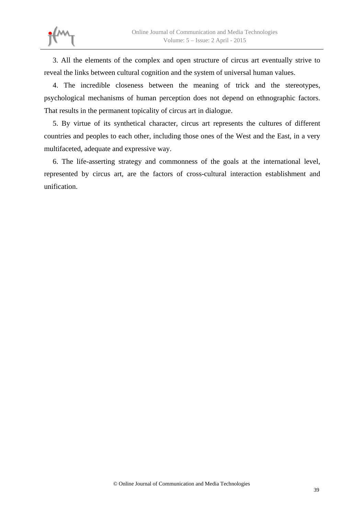

3. All the elements of the complex and open structure of circus art eventually strive to reveal the links between cultural cognition and the system of universal human values.

4. The incredible closeness between the meaning of trick and the stereotypes, psychological mechanisms of human perception does not depend on ethnographic factors. That results in the permanent topicality of circus art in dialogue.

5. By virtue of its synthetical character, circus art represents the cultures of different countries and peoples to each other, including those ones of the West and the East, in a very multifaceted, adequate and expressive way.

6. The life-asserting strategy and commonness of the goals at the international level, represented by circus art, are the factors of cross-cultural interaction establishment and unification.